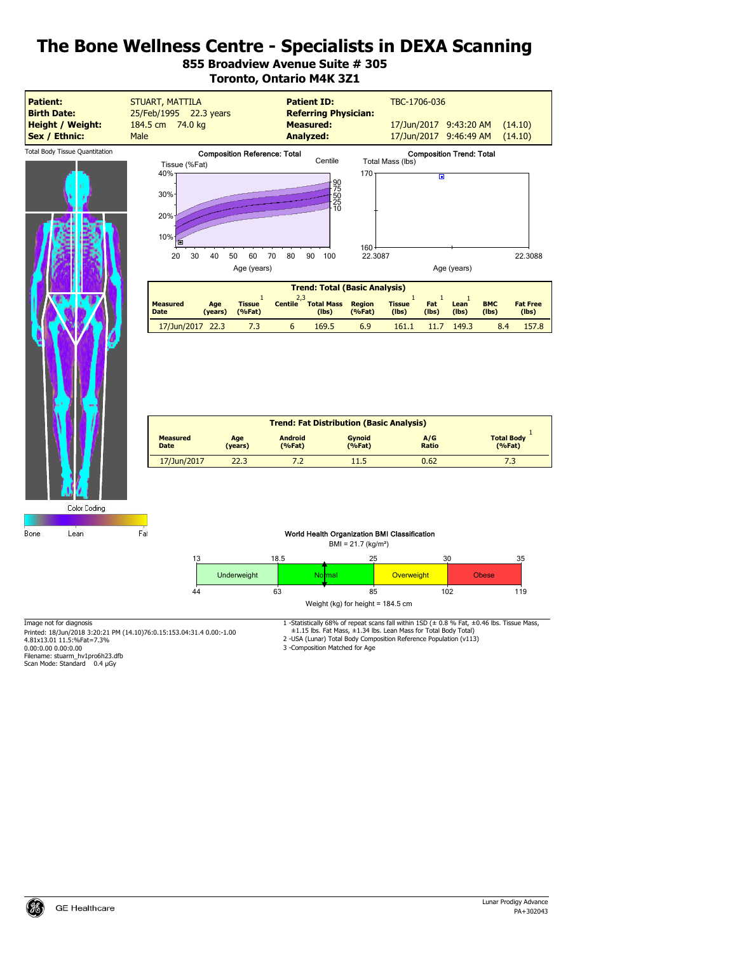# **855 Broadview Avenue Suite # 305 Toronto, Ontario M4K 3Z1**



| <b>Trend: Fat Distribution (Basic Analysis)</b> |                |                          |                         |              |                             |
|-------------------------------------------------|----------------|--------------------------|-------------------------|--------------|-----------------------------|
| <b>Measured</b><br><b>Date</b>                  | Age<br>(years) | <b>Android</b><br>(%Fat) | <b>Gynoid</b><br>(%Fat) | A/G<br>Ratio | <b>Total Body</b><br>(%Fat) |
| 17/Jun/2017                                     | 22.3           | 7.2                      | 11.5                    | 0.62         |                             |

Color Coding

Bone Lean

#### World Health Organization BMI Classification



Printed: 18/Jun/2018 3:20:21 PM (14.10)76:0.15:153.04:31.4 0.00:-1.00<br>4.81x13.01 11.5:%Fat=7.3%<br>0.00:0.00 0.00:0.00

Fat

Filename: stuarm\_hv1pro6h23.dfb Scan Mode: Standard 0.4 µGy

Image not for diagnosis 1 -Statistically 68% of repeat scans fall within 1SD (± 0.8 % Fat, ±0.46 lbs. Tissue Mass,

±1.15 lbs. Fat Mass, ±1.34 lbs. Lean Mass for Total Body Total) 2 -USA (Lunar) Total Body Composition Reference Population (v113)

3 -Composition Matched for Age

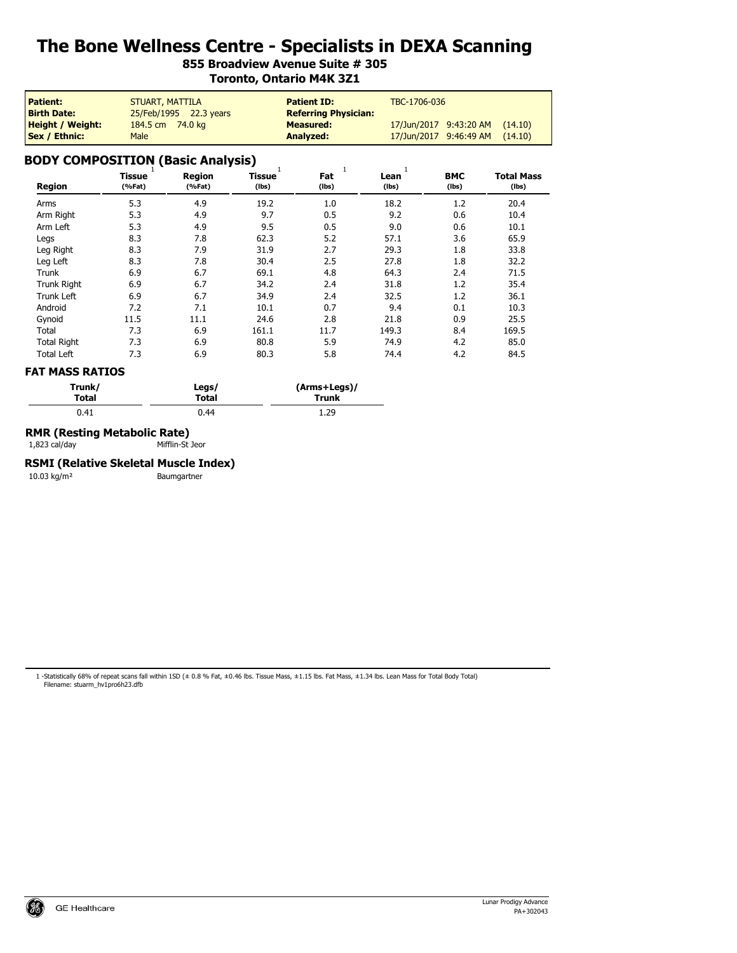# **855 Broadview Avenue Suite # 305 Toronto, Ontario M4K 3Z1**

| <b>Patient:</b>         | <b>STUART, MATTILA</b> | <b>Patient ID:</b>          | TBC-1706-036                      |
|-------------------------|------------------------|-----------------------------|-----------------------------------|
| <b>Birth Date:</b>      | 25/Feb/1995 22.3 years | <b>Referring Physician:</b> |                                   |
| <b>Height / Weight:</b> | 184.5 cm 74.0 kg       | <b>Measured:</b>            | 17/Jun/2017 9:43:20 AM<br>(14.10) |
| <b>Sex / Ethnic:</b>    | <b>Male</b>            | Analyzed:                   | 17/Jun/2017 9:46:49 AM<br>(14.10) |

# **BODY COMPOSITION (Basic Analysis)**

| <b>Region</b>      | v-<br><b>Tissue</b><br>(%Fat) | <b>Region</b><br>(%Fat) | - ,<br><b>Tissue</b><br>(lbs) | 1<br>Fat<br>(Ibs) | Lean<br>(Ibs) | <b>BMC</b><br>(lbs) | <b>Total Mass</b><br>$($ lbs $)$ |
|--------------------|-------------------------------|-------------------------|-------------------------------|-------------------|---------------|---------------------|----------------------------------|
| Arms               | 5.3                           | 4.9                     | 19.2                          | 1.0               | 18.2          | 1.2                 | 20.4                             |
| Arm Right          | 5.3                           | 4.9                     | 9.7                           | 0.5               | 9.2           | 0.6                 | 10.4                             |
| Arm Left           | 5.3                           | 4.9                     | 9.5                           | 0.5               | 9.0           | 0.6                 | 10.1                             |
| Legs               | 8.3                           | 7.8                     | 62.3                          | 5.2               | 57.1          | 3.6                 | 65.9                             |
| Leg Right          | 8.3                           | 7.9                     | 31.9                          | 2.7               | 29.3          | 1.8                 | 33.8                             |
| Leg Left           | 8.3                           | 7.8                     | 30.4                          | 2.5               | 27.8          | 1.8                 | 32.2                             |
| Trunk              | 6.9                           | 6.7                     | 69.1                          | 4.8               | 64.3          | 2.4                 | 71.5                             |
| <b>Trunk Right</b> | 6.9                           | 6.7                     | 34.2                          | 2.4               | 31.8          | 1.2                 | 35.4                             |
| <b>Trunk Left</b>  | 6.9                           | 6.7                     | 34.9                          | 2.4               | 32.5          | 1.2                 | 36.1                             |
| Android            | 7.2                           | 7.1                     | 10.1                          | 0.7               | 9.4           | 0.1                 | 10.3                             |
| Gynoid             | 11.5                          | 11.1                    | 24.6                          | 2.8               | 21.8          | 0.9                 | 25.5                             |
| Total              | 7.3                           | 6.9                     | 161.1                         | 11.7              | 149.3         | 8.4                 | 169.5                            |
| <b>Total Right</b> | 7.3                           | 6.9                     | 80.8                          | 5.9               | 74.9          | 4.2                 | 85.0                             |
| <b>Total Left</b>  | 7.3                           | 6.9                     | 80.3                          | 5.8               | 74.4          | 4.2                 | 84.5                             |

#### **FAT MASS RATIOS**

| Trunk/ | Legs/ | (Arms+Legs)/ |  |
|--------|-------|--------------|--|
| Total  | Total | Trunk        |  |
| 0.41   | 0.44  | 1.29         |  |

### **RMR (Resting Metabolic Rate)**

1,823 cal/day Mifflin-St Jeor

#### **RSMI (Relative Skeletal Muscle Index)**

10.03 kg/m² Baumgartner

1 -Statistically 68% of repeat scans fall within 1SD (± 0.8 % Fat, ±0.46 lbs. Tissue Mass, ±1.15 lbs. Fat Mass, ±1.34 lbs. Lean Mass for Total Body Total) Filename: stuarm\_hv1pro6h23.dfb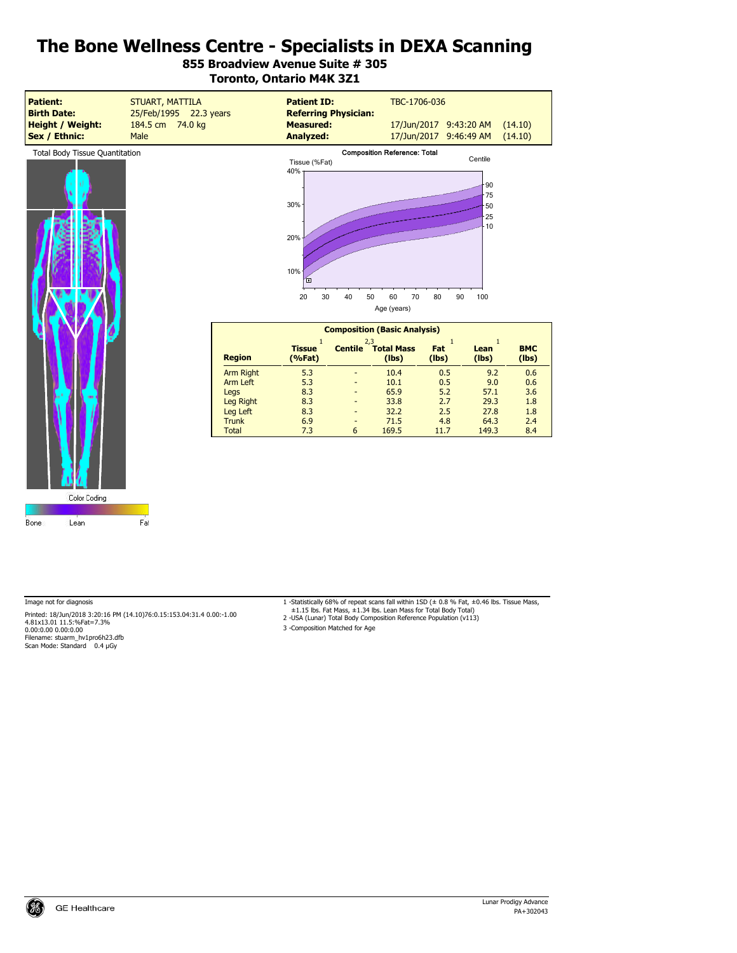# **855 Broadview Avenue Suite # 305 Toronto, Ontario M4K 3Z1**



Bone

Color Coding

Lean

Image not for diagnosis (1.4.10) 1-Statistically 68% of repeat scans fall within 1SD (± 0.8 % Fat, ±0.46 lbs. Tissue Mass, و Printed: 18/Jun/2018 3:20:16 PM (14.10)76:0.15:153.04:31.4 0.00:-1.00 Printed: 18/Jun/2018 3:20:16 PM (14.10)76:0.15:153.04:31.4 0.00:-1.00<br>4.81x13.01 11.5:%Fat=7.3%<br>0.00:0.00 0.00:0.00 Filename: stuarm\_hv1pro6h23.dfb Scan Mode: Standard 0.4 µGy

Fat

- 
- 3 -Composition Matched for Age

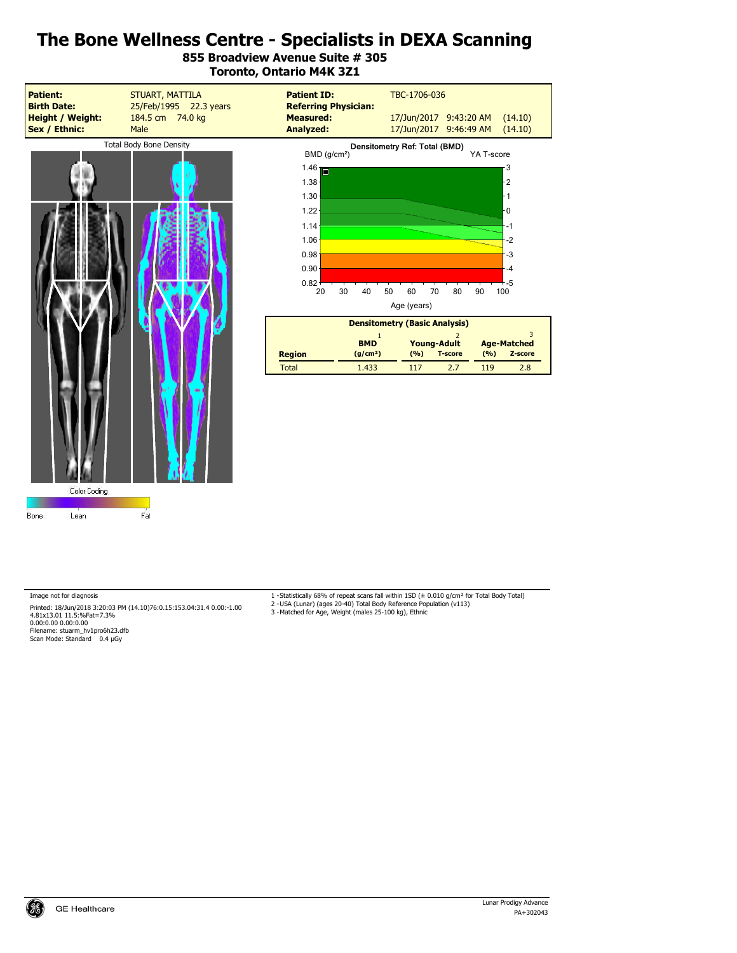**855 Broadview Avenue Suite # 305 Toronto, Ontario M4K 3Z1**





| <b>Densitometry (Basic Analysis)</b> |                                    |       |                                      |       |                               |
|--------------------------------------|------------------------------------|-------|--------------------------------------|-------|-------------------------------|
|                                      |                                    |       |                                      |       |                               |
| <b>Region</b>                        | <b>BMD</b><br>(q/cm <sup>2</sup> ) | (9/6) | <b>Young-Adult</b><br><b>T-score</b> | (9/6) | <b>Age-Matched</b><br>Z-score |
| Total                                | 1.433                              | 117   | 27                                   | 119   | 2.8                           |

Image not for diagnosis

Printed: 18/Jun/2018 3:20:03 PM (14.10)76:0.15:153.04:31.4 0.00:-1.00<br>4.81x13.01 11.5:%Fat=7.3%<br>0.00:0.00 0.00:0.00 Filename: stuarm\_hv1pro6h23.dfb Scan Mode: Standard 0.4 µGy

1 -Statistically 68% of repeat scans fall within 1SD (± 0.010 g/cm² for Total Body Total) 2 -USA (Lunar) (ages 20-40) Total Body Reference Population (v113)

3 -Matched for Age, Weight (males 25-100 kg), Ethnic

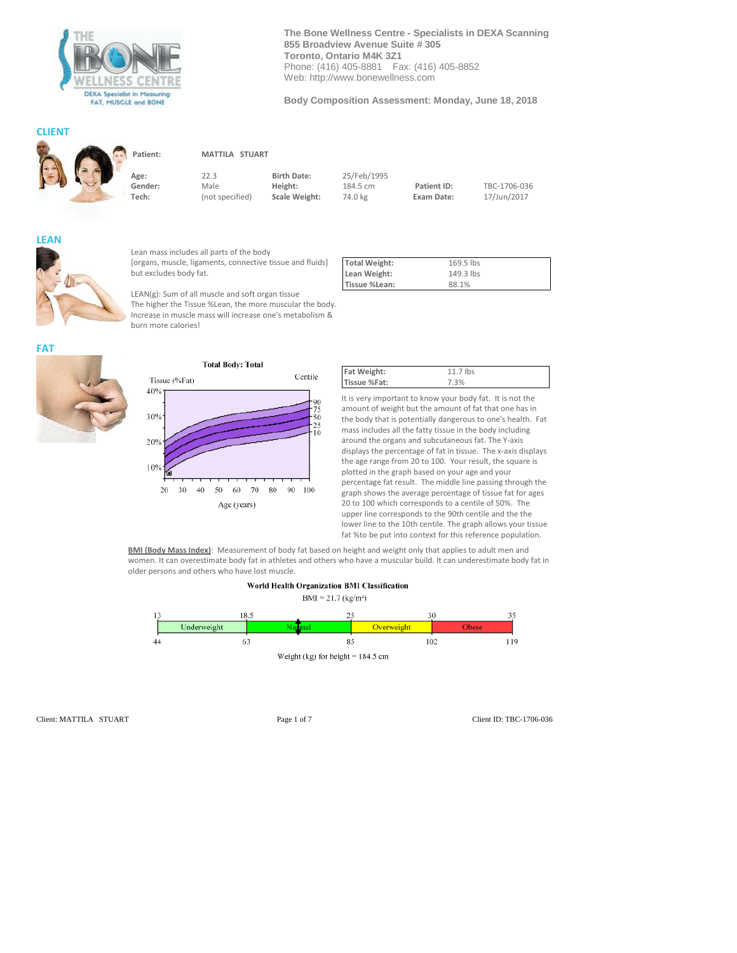

**The Bone Wellness Centre - Specialists in DEXA Scanning 855 Broadview Avenue Suite # 305 Toronto, Ontario M4K 3Z1** Phone: (416) 405-8881 Fax: (416) 405-8852 Web: http://www.bonewellness.com

**Body Composition Assessment: Monday, June 18, 2018**

#### **CLIENT**



**Patient: MATTILA STUART**

**Age:** 22.3 **Birth Date:** 25/Feb/1995

**Gender:** Male **Height:** 184.5 cm **Patient ID: TBC-1706-036**<br>**Tech:** (not specified) **Scale Weight:** 74.0 kg **Exam Date:** 17/Jun/2017

Centile

90

50



**FAT**

Lean mass includes all parts of the body [organs, muscle, ligaments, connective tissue and fluids] but excludes body fat.

**Tech:** (not specified) **Scale Weight:** 74.0 kg **Exam Date:** 17/Jun/2017

LEAN(g): Sum of all muscle and soft organ tissue The higher the Tissue %Lean, the more muscular the body. Increase in muscle mass will increase one's metabolism & burn more calories!

Age (years)

| <b>Total Weight:</b> | 169.5 lbs |  |
|----------------------|-----------|--|
| Lean Weight:         | 149.3 lbs |  |
| Tissue %Lean:        | 88.1%     |  |

**Total Body: Total** Tissue (%Fat) 40% 30% 20% 10%  $20\,$ 30 40 50 90 100 60 70 80

| Fat Weight:  | 11.7 lbs |
|--------------|----------|
| Tissue %Fat: | 7.3%     |
|              |          |

It is very important to know your body fat. It is not the amount of weight but the amount of fat that one has in the body that is potentially dangerous to one's health. Fat mass includes all the fatty tissue in the body including around the organs and subcutaneous fat. The Y-axis displays the percentage of fat in tissue. The x-axis displays the age range from 20 to 100. Your result, the square is plotted in the graph based on your age and your percentage fat result. The middle line passing through the graph shows the average percentage of tissue fat for ages 20 to 100 which corresponds to a centile of 50%. The upper line corresponds to the 90th centile and the the lower line to the 10th centile. The graph allows your tissue fat %to be put into context for this reference population.

**BMI (Body Mass Index)**: Measurement of body fat based on height and weight only that applies to adult men and women. It can overestimate body fat in athletes and others who have a muscular build. It can underestimate body fat in older persons and others who have lost muscle.



Client: MATTILA STUART Page 1 of 7 Client ID: TBC-1706-036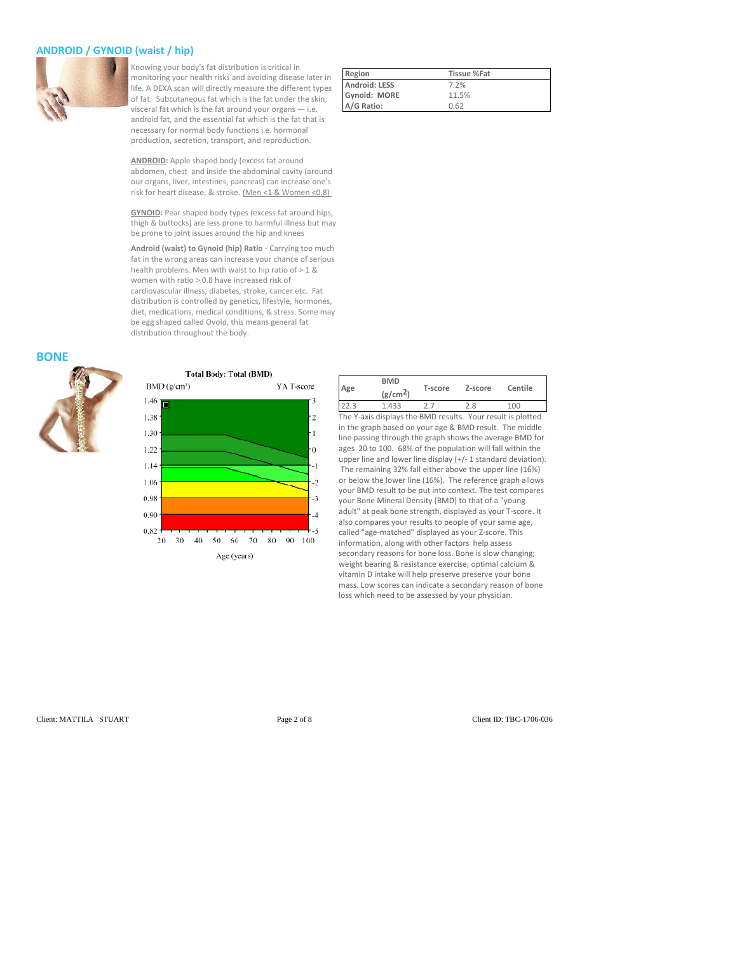### **ANDROID / GYNOID (waist / hip)**



Knowing your body's fat distribution is critical in monitoring your health risks and avoiding disease later in life. A DEXA scan will directly measure the different types of fat: Subcutaneous fat which is the fat under the skin, visceral fat which is the fat around your organs — i.e. android fat, and the essential fat which is the fat that is necessary for normal body functions i.e. hormonal production, secretion, transport, and reproduction.

**ANDROID:** Apple shaped body (excess fat around abdomen, chest and inside the abdominal cavity (around our organs, liver, intestines, pancreas) can increase one's risk for heart disease, & stroke. (Men <1 & Women <0.8)

**GYNOID:** Pear shaped body types (excess fat around hips, thigh & buttocks) are less prone to harmful illness but may be prone to joint issues around the hip and knees

**Android (waist) to Gynoid (hip) Ratio** - Carrying too much fat in the wrong areas can increase your chance of serious health problems. Men with waist to hip ratio of > 1 & women with ratio > 0.8 have increased risk of cardiovascular illness, diabetes, stroke, cancer etc. Fat distribution is controlled by genetics, lifestyle, hormones, diet, medications, medical conditions, & stress. Some may be egg shaped called Ovoid, this means general fat distribution throughout the body.

#### **BONE**



1.06

0.98

 $0.90$ 0.82



20 30 40 50 60 70 80 90 100 Age (years)

| Region        | <b>Tissue %Fat</b> |
|---------------|--------------------|
| Android: LESS | 7.2%               |
| Gynoid: MORE  | 11.5%              |
| A/G Ratio:    | 0.62               |

| Age  | <b>BMD</b><br>(g/cm <sup>2</sup> ) | T-score                                                     | Z-score | Centile |
|------|------------------------------------|-------------------------------------------------------------|---------|---------|
| 22.3 | 1.433                              | 77                                                          | 2.8     | 100     |
|      |                                    | The Y-axis displays the BMD results. Your result is plotted |         |         |

The Y-axis displays the BMD results. Your result is plotted in the graph based on your age & BMD result. The middle line passing through the graph shows the average BMD for ages 20 to 100. 68% of the population will fall within the upper line and lower line display (+/- 1 standard deviation). The remaining 32% fall either above the upper line (16%) or below the lower line (16%). The reference graph allows your BMD result to be put into context. The test compares your Bone Mineral Density (BMD) to that of a "young adult" at peak bone strength, displayed as your T-score. It also compares your results to people of your same age, called "age-matched" displayed as your Z-score. This information, along with other factors help assess secondary reasons for bone loss. Bone is slow changing; weight bearing & resistance exercise, optimal calcium & vitamin D intake will help preserve preserve your bone mass. Low scores can indicate a secondary reason of bone loss which need to be assessed by your physician.

Client: MATTILA STUART Page 2 of 8 Client ID: TBC-1706-036

 $\mathbf{1}$ 

 $\theta$ 

 $-1$ 

 $\overline{2}$ 

 $-3$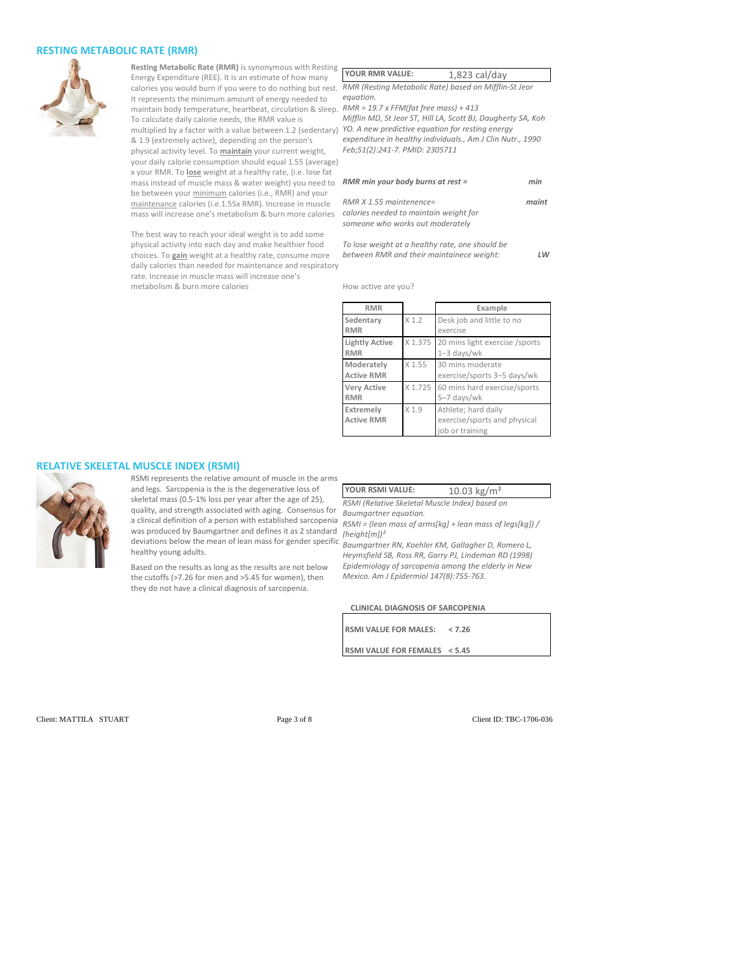#### **RESTING METABOLIC RATE (RMR)**



**Resting Metabolic Rate (RMR)** is synonymous with Resting **Y** Energy Expenditure (REE). It is an estimate of how many calories you would burn if you were to do nothing but rest. RI It represents the minimum amount of energy needed to maintain body temperature, heartbeat, circulation & sleep. RI To calculate daily calorie needs, the RMR value is multiplied by a factor with a value between 1.2 (sedentary) *YO. A new predictive equation for resting energy* & 1.9 (extremely active), depending on the person's physical activity level. To **maintain** your current weight, your daily calorie consumption should equal 1.55 (average) x your RMR. To **lose** weight at a healthy rate, (i.e. lose fat mass instead of muscle mass & water weight) you need to be between your minimum calories (i.e., RMR) and your maintenance calories (i.e.1.55x RMR). Increase in muscle mass will increase one's metabolism & burn more calories *equation.*

The best way to reach your ideal weight is to add some physical activity into each day and make healthier food choices. To **gain** weight at a healthy rate, consume more daily calories than needed for maintenance and respiratory rate. Increase in muscle mass will increase one's metabolism & burn more calories

| <b>YOUR RMR VALUE:</b>                  | $1,823$ cal/day                                              |
|-----------------------------------------|--------------------------------------------------------------|
|                                         | RMR (Resting Metabolic Rate) based on Mifflin-St Jeor        |
| equation.                               |                                                              |
| $RMR = 19.7$ x FFM(fat free mass) + 413 |                                                              |
|                                         | Mifflin MD, St Jeor ST, Hill LA, Scott BJ, Daugherty SA, Koh |

*expenditure in healthy individuals., Am J Clin Nutr., 1990 Feb;51(2):241-7. PMID: 2305711*

| RMR min your body burns at rest =                                                                       | min   |
|---------------------------------------------------------------------------------------------------------|-------|
| $RMR X 1.55$ maintenence=<br>calories needed to maintain weight for<br>someone who works out moderately | maint |

*To lose weight at a healthy rate, one should be between RMR and their maintainece weight: LW*

How active are you?

| <b>RMR</b>                          |                  | Example                                                                |
|-------------------------------------|------------------|------------------------------------------------------------------------|
| Sedentary<br><b>RMR</b>             | X <sub>1.2</sub> | Desk job and little to no<br>exercise                                  |
| <b>Lightly Active</b><br><b>RMR</b> | X 1.375          | 20 mins light exercise /sports<br>$1 - 3$ days/wk                      |
| Moderately<br><b>Active RMR</b>     | $X$ 1.55         | 30 mins moderate<br>exercise/sports 3-5 days/wk                        |
| <b>Very Active</b><br><b>RMR</b>    |                  | X 1.725 60 mins hard exercise/sports<br>5-7 days/wk                    |
| Extremely<br><b>Active RMR</b>      | X <sub>1.9</sub> | Athlete; hard daily<br>exercise/sports and physical<br>job or training |

#### **RELATIVE SKELETAL MUSCLE INDEX (RSMI)**



RSMI represents the relative amount of muscle in the arms and legs. Sarcopenia is the is the degenerative loss of skeletal mass (0.5-1% loss per year after the age of 25), quality, and strength associated with aging. Consensus for a clinical definition of a person with established sarcopenia was produced by Baumgartner and defines it as 2 standard was produced by Baumgartner and defines it as 2 standard <sub>(height[m])<sup>2</sup><br>deviations below the mean of lean mass for gender specific <sub>Raumgartne</sub></sub> healthy young adults.

Based on the results as long as the results are not below the cutoffs (>7.26 for men and >5.45 for women), then they do not have a clinical diagnosis of sarcopenia.

YOUR RSMI VALUE: 10.03 kg/m<sup>2</sup>

*RSMI (Relative Skeletal Muscle Index) based on Baumgartner equation.*

*RSMI = (lean mass of arms[kg] + lean mass of legs[kg]) /*

*Baumgartner RN, Koehler KM, Gallagher D, Romero L, Heymsfield SB, Ross RR, Garry PJ, Lindeman RD (1998) Epidemiology of sarcopenia among the elderly in New Mexico. Am J Epidermiol 147(8):755-763.*

**CLINICAL DIAGNOSIS OF SARCOPENIA**

| RSMI VALUE FOR MALES: < 7.26  |  |
|-------------------------------|--|
| RSMI VALUE FOR FEMALES < 5.45 |  |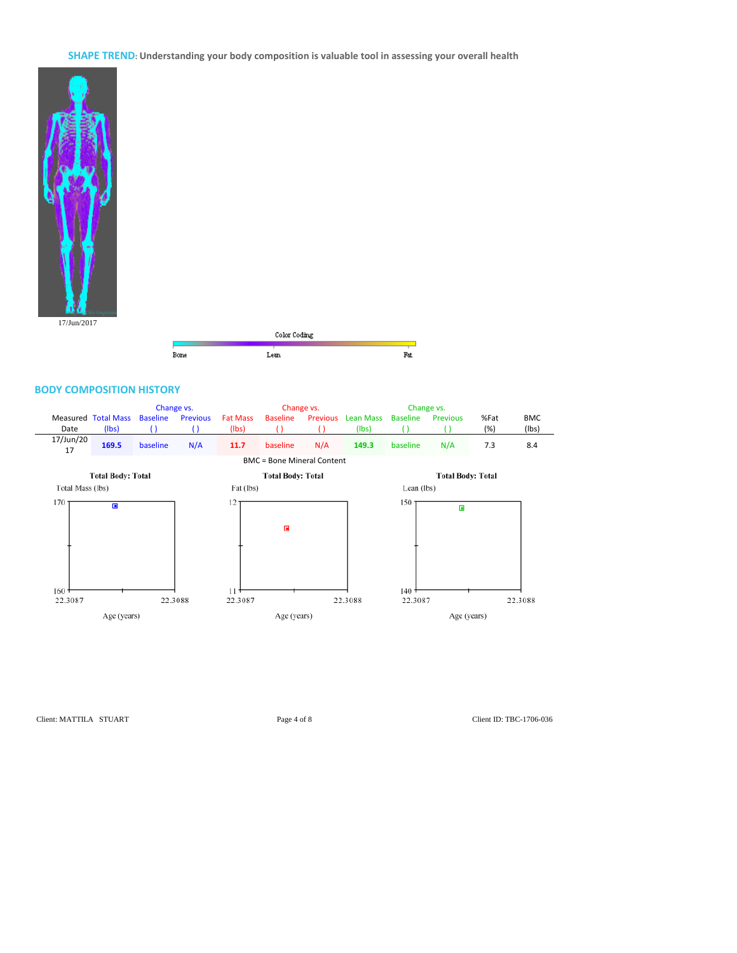**SHAPE TREND: Understanding your body composition is valuable tool in assessing your overall health**



 $\operatorname{Color}$  Coding Bone Lean  $\mathop{\text{Fat}}$ 

#### **BODY COMPOSITION HISTORY**



Client: MATTILA STUART Page 4 of 8 Client ID: TBC-1706-036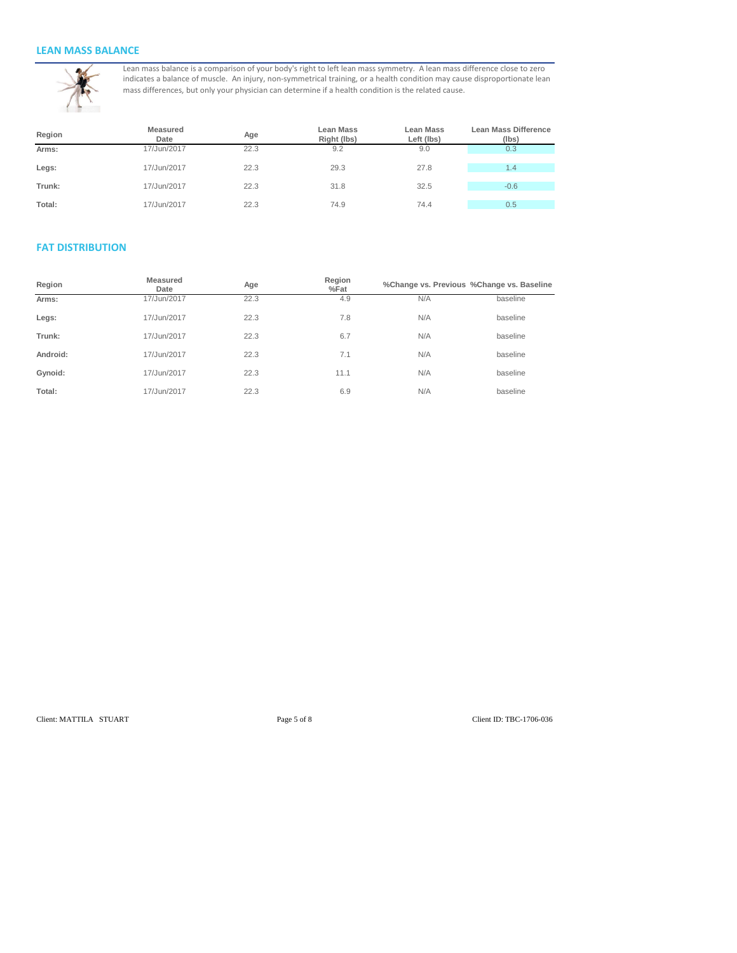### **LEAN MASS BALANCE**



Lean mass balance is a comparison of your body's right to left lean mass symmetry. A lean mass difference close to zero indicates a balance of muscle. An injury, non-symmetrical training, or a health condition may cause disproportionate lean mass differences, but only your physician can determine if a health condition is the related cause.

| Region | <b>Measured</b><br>Date | Age  | <b>Lean Mass</b><br>Right (lbs) | <b>Lean Mass</b><br>Left (lbs) | <b>Lean Mass Difference</b><br>(Ibs) |
|--------|-------------------------|------|---------------------------------|--------------------------------|--------------------------------------|
| Arms:  | 17/Jun/2017             | 22.3 | 9.2                             | 9.0                            | 0.3                                  |
| Legs:  | 17/Jun/2017             | 22.3 | 29.3                            | 27.8                           | 1.4                                  |
| Trunk: | 17/Jun/2017             | 22.3 | 31.8                            | 32.5                           | $-0.6$                               |
| Total: | 17/Jun/2017             | 22.3 | 74.9                            | 74.4                           | 0.5                                  |

# **FAT DISTRIBUTION**

| Region   | Measured<br>Date | Age  | Region<br>$%$ Fat |     | %Change vs. Previous %Change vs. Baseline |
|----------|------------------|------|-------------------|-----|-------------------------------------------|
| Arms:    | 17/Jun/2017      | 22.3 | 4.9               | N/A | baseline                                  |
| Legs:    | 17/Jun/2017      | 22.3 | 7.8               | N/A | baseline                                  |
| Trunk:   | 17/Jun/2017      | 22.3 | 6.7               | N/A | baseline                                  |
| Android: | 17/Jun/2017      | 22.3 | 7.1               | N/A | baseline                                  |
| Gynoid:  | 17/Jun/2017      | 22.3 | 11.1              | N/A | baseline                                  |
| Total:   | 17/Jun/2017      | 22.3 | 6.9               | N/A | baseline                                  |

Client: MATTILA STUART Page 5 of 8 Client ID: TBC-1706-036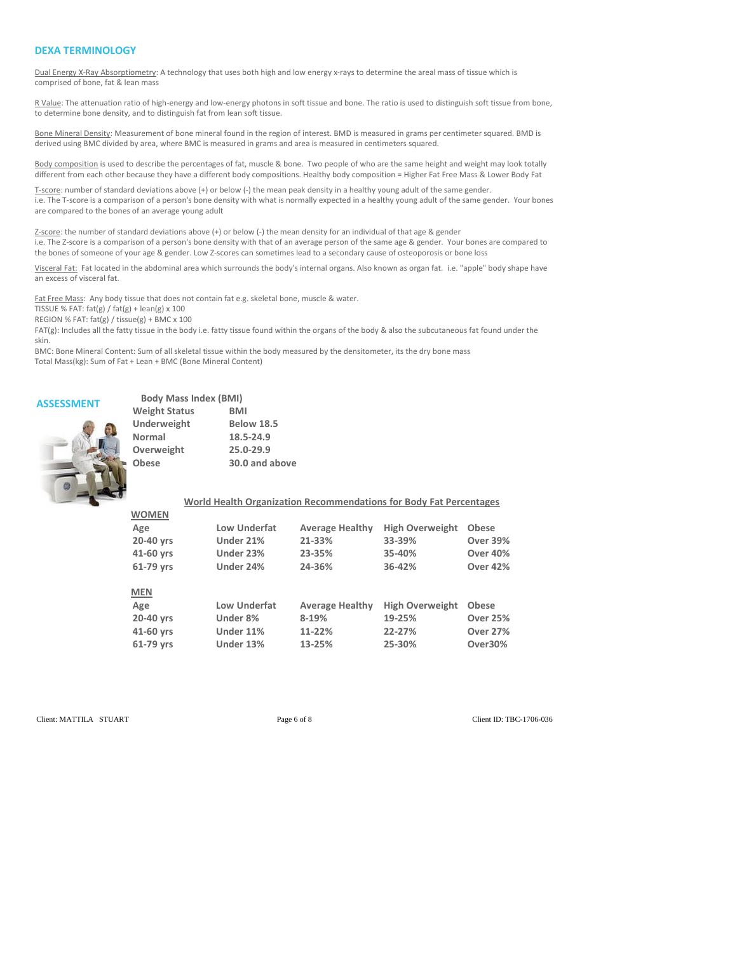#### **DEXA TERMINOLOGY**

Dual Energy X-Ray Absorptiometry: A technology that uses both high and low energy x-rays to determine the areal mass of tissue which is comprised of bone, fat & lean mass

R Value: The attenuation ratio of high-energy and low-energy photons in soft tissue and bone. The ratio is used to distinguish soft tissue from bone, to determine bone density, and to distinguish fat from lean soft tissue.

Bone Mineral Density: Measurement of bone mineral found in the region of interest. BMD is measured in grams per centimeter squared. BMD is derived using BMC divided by area, where BMC is measured in grams and area is measured in centimeters squared.

Body composition is used to describe the percentages of fat, muscle & bone. Two people of who are the same height and weight may look totally different from each other because they have a different body compositions. Healthy body composition = Higher Fat Free Mass & Lower Body Fat

T-score: number of standard deviations above (+) or below (-) the mean peak density in a healthy young adult of the same gender. i.e. The T-score is a comparison of a person's bone density with what is normally expected in a healthy young adult of the same gender. Your bones are compared to the bones of an average young adult

Z-score: the number of standard deviations above (+) or below (-) the mean density for an individual of that age & gender i.e. The Z-score is a comparison of a person's bone density with that of an average person of the same age & gender. Your bones are compared to the bones of someone of your age & gender. Low Z-scores can sometimes lead to a secondary cause of osteoporosis or bone loss

Visceral Fat: Fat located in the abdominal area which surrounds the body's internal organs. Also known as organ fat. i.e. "apple" body shape have an excess of visceral fat.

Fat Free Mass: Any body tissue that does not contain fat e.g. skeletal bone, muscle & water.

TISSUE % FAT:  $fat(g) / fat(g) + lean(g) \times 100$ 

REGION % FAT: fat(g) / tissue(g) + BMC x 100

FAT(g): Includes all the fatty tissue in the body i.e. fatty tissue found within the organs of the body & also the subcutaneous fat found under the skin.

BMC: Bone Mineral Content: Sum of all skeletal tissue within the body measured by the densitometer, its the dry bone mass Total Mass(kg): Sum of Fat + Lean + BMC (Bone Mineral Content)

# **ASSESSMENT Body Mass Index (BMI)**

| <b>Weight Status</b> | BMI               |
|----------------------|-------------------|
| Underweight          | <b>Below 18.5</b> |
| Normal               | 18.5-24.9         |
| Overweight           | 25.0-29.9         |
| <b>Obese</b>         | 30.0 and above    |
|                      |                   |

|              |           |                     | World Health Organization Recommendations for Body Fat Percentages |                        |                 |
|--------------|-----------|---------------------|--------------------------------------------------------------------|------------------------|-----------------|
| <b>WOMEN</b> |           |                     |                                                                    |                        |                 |
| Age          |           | Low Underfat        | <b>Average Healthy</b>                                             | <b>High Overweight</b> | <b>Obese</b>    |
| 20-40 yrs    | Under 21% |                     | 21-33%                                                             | 33-39%                 | <b>Over 39%</b> |
| 41-60 yrs    | Under 23% |                     | 23-35%                                                             | 35-40%                 | <b>Over 40%</b> |
| 61-79 yrs    | Under 24% |                     | 24-36%                                                             | 36-42%                 | <b>Over 42%</b> |
| <b>MEN</b>   |           |                     |                                                                    |                        |                 |
| Age          |           | <b>Low Underfat</b> | <b>Average Healthy</b>                                             | <b>High Overweight</b> | <b>Obese</b>    |
| 20-40 yrs    | Under 8%  |                     | 8-19%                                                              | 19-25%                 | <b>Over 25%</b> |
| 41-60 yrs    | Under 11% |                     | 11-22%                                                             | 22-27%                 | <b>Over 27%</b> |
| 61-79 vrs    | Under 13% |                     | 13-25%                                                             | 25-30%                 | Over30%         |

Client: MATTILA STUART Page 6 of 8 Client ID: TBC-1706-036